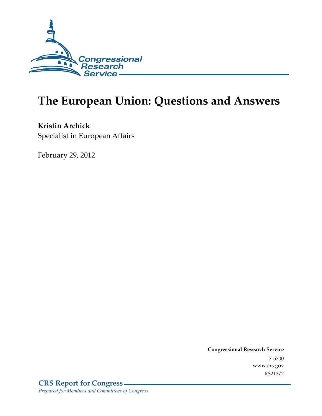

# **The European Union: Questions and Answers**

**Kristin Archick**  Specialist in European Affairs

February 29, 2012

**Congressional Research Service**  7-5700 www.crs.gov RS21372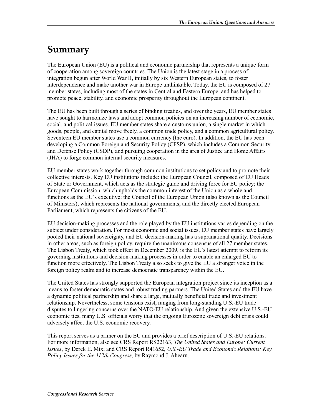## **Summary**

The European Union (EU) is a political and economic partnership that represents a unique form of cooperation among sovereign countries. The Union is the latest stage in a process of integration begun after World War II, initially by six Western European states, to foster interdependence and make another war in Europe unthinkable. Today, the EU is composed of 27 member states, including most of the states in Central and Eastern Europe, and has helped to promote peace, stability, and economic prosperity throughout the European continent.

The EU has been built through a series of binding treaties, and over the years, EU member states have sought to harmonize laws and adopt common policies on an increasing number of economic, social, and political issues. EU member states share a customs union, a single market in which goods, people, and capital move freely, a common trade policy, and a common agricultural policy. Seventeen EU member states use a common currency (the euro). In addition, the EU has been developing a Common Foreign and Security Policy (CFSP), which includes a Common Security and Defense Policy (CSDP), and pursuing cooperation in the area of Justice and Home Affairs (JHA) to forge common internal security measures.

EU member states work together through common institutions to set policy and to promote their collective interests. Key EU institutions include: the European Council, composed of EU Heads of State or Government, which acts as the strategic guide and driving force for EU policy; the European Commission, which upholds the common interest of the Union as a whole and functions as the EU's executive; the Council of the European Union (also known as the Council of Ministers), which represents the national governments; and the directly elected European Parliament, which represents the citizens of the EU.

EU decision-making processes and the role played by the EU institutions varies depending on the subject under consideration. For most economic and social issues, EU member states have largely pooled their national sovereignty, and EU decision-making has a supranational quality. Decisions in other areas, such as foreign policy, require the unanimous consensus of all 27 member states. The Lisbon Treaty, which took effect in December 2009, is the EU's latest attempt to reform its governing institutions and decision-making processes in order to enable an enlarged EU to function more effectively. The Lisbon Treaty also seeks to give the EU a stronger voice in the foreign policy realm and to increase democratic transparency within the EU.

The United States has strongly supported the European integration project since its inception as a means to foster democratic states and robust trading partners. The United States and the EU have a dynamic political partnership and share a large, mutually beneficial trade and investment relationship. Nevertheless, some tensions exist, ranging from long-standing U.S.-EU trade disputes to lingering concerns over the NATO-EU relationship. And given the extensive U.S.-EU economic ties, many U.S. officials worry that the ongoing Eurozone sovereign debt crisis could adversely affect the U.S. economic recovery.

This report serves as a primer on the EU and provides a brief description of U.S.-EU relations. For more information, also see CRS Report RS22163, *The United States and Europe: Current Issues*, by Derek E. Mix; and CRS Report R41652, *U.S.-EU Trade and Economic Relations: Key Policy Issues for the 112th Congress*, by Raymond J. Ahearn.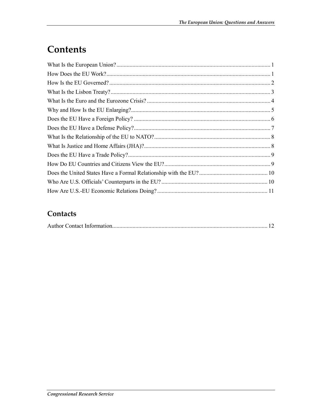# Contents

#### Contacts

|--|--|--|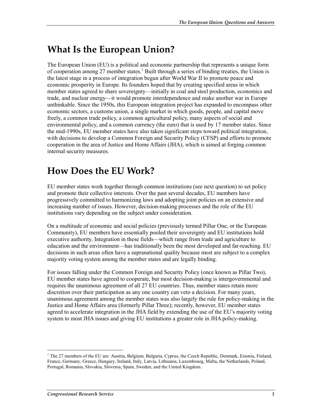## **What Is the European Union?**

The European Union (EU) is a political and economic partnership that represents a unique form of cooperation among 27 member states.<sup>1</sup> Built through a series of binding treaties, the Union is the latest stage in a process of integration begun after World War II to promote peace and economic prosperity in Europe. Its founders hoped that by creating specified areas in which member states agreed to share sovereignty—initially in coal and steel production, economics and trade, and nuclear energy—it would promote interdependence and make another war in Europe unthinkable. Since the 1950s, this European integration project has expanded to encompass other economic sectors, a customs union, a single market in which goods, people, and capital move freely, a common trade policy, a common agricultural policy, many aspects of social and environmental policy, and a common currency (the euro) that is used by 17 member states. Since the mid-1990s, EU member states have also taken significant steps toward political integration, with decisions to develop a Common Foreign and Security Policy (CFSP) and efforts to promote cooperation in the area of Justice and Home Affairs (JHA), which is aimed at forging common internal security measures.

## **How Does the EU Work?**

EU member states work together through common institutions (see next question) to set policy and promote their collective interests. Over the past several decades, EU members have progressively committed to harmonizing laws and adopting joint policies on an extensive and increasing number of issues. However, decision-making processes and the role of the EU institutions vary depending on the subject under consideration.

On a multitude of economic and social policies (previously termed Pillar One, or the European Community), EU members have essentially pooled their sovereignty and EU institutions hold executive authority. Integration in these fields—which range from trade and agriculture to education and the environment—has traditionally been the most developed and far-reaching. EU decisions in such areas often have a supranational quality because most are subject to a complex majority voting system among the member states and are legally binding.

For issues falling under the Common Foreign and Security Policy (once known as Pillar Two), EU member states have agreed to cooperate, but most decision-making is intergovernmental and requires the unanimous agreement of all 27 EU countries. Thus, member states retain more discretion over their participation as any one country can veto a decision. For many years, unanimous agreement among the member states was also largely the rule for policy-making in the Justice and Home Affairs area (formerly Pillar Three); recently, however, EU member states agreed to accelerate integration in the JHA field by extending the use of the EU's majority voting system to most JHA issues and giving EU institutions a greater role in JHA policy-making.

<sup>&</sup>lt;sup>1</sup> The 27 members of the EU are: Austria, Belgium, Bulgaria, Cyprus, the Czech Republic, Denmark, Estonia, Finland, France, Germany, Greece, Hungary, Ireland, Italy, Latvia, Lithuania, Luxembourg, Malta, the Netherlands, Poland, Portugal, Romania, Slovakia, Slovenia, Spain, Sweden, and the United Kingdom.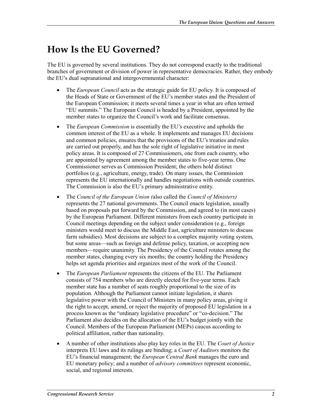## **How Is the EU Governed?**

The EU is governed by several institutions. They do not correspond exactly to the traditional branches of government or division of power in representative democracies. Rather, they embody the EU's dual supranational and intergovernmental character:

- The *European Council* acts as the strategic guide for EU policy. It is composed of the Heads of State or Government of the EU's member states and the President of the European Commission; it meets several times a year in what are often termed "EU summits." The European Council is headed by a President, appointed by the member states to organize the Council's work and facilitate consensus.
- The *European Commission* is essentially the EU's executive and upholds the common interest of the EU as a whole. It implements and manages EU decisions and common policies, ensures that the provisions of the EU's treaties and rules are carried out properly, and has the sole right of legislative initiative in most policy areas. It is composed of 27 Commissioners, one from each country, who are appointed by agreement among the member states to five-year terms. One Commissioner serves as Commission President; the others hold distinct portfolios (e.g., agriculture, energy, trade). On many issues, the Commission represents the EU internationally and handles negotiations with outside countries. The Commission is also the EU's primary administrative entity.
- The *Council of the European Union (*also called the *Council of Ministers)* represents the 27 national governments. The Council enacts legislation, usually based on proposals put forward by the Commission, and agreed to (in most cases) by the European Parliament. Different ministers from each country participate in Council meetings depending on the subject under consideration (e.g., foreign ministers would meet to discuss the Middle East, agriculture ministers to discuss farm subsidies). Most decisions are subject to a complex majority voting system, but some areas—such as foreign and defense policy, taxation, or accepting new members—require unanimity. The Presidency of the Council rotates among the member states, changing every six months; the country holding the Presidency helps set agenda priorities and organizes most of the work of the Council.
- The *European Parliament* represents the citizens of the EU. The Parliament consists of 754 members who are directly elected for five-year terms. Each member state has a number of seats roughly proportional to the size of its population. Although the Parliament cannot initiate legislation, it shares legislative power with the Council of Ministers in many policy areas, giving it the right to accept, amend, or reject the majority of proposed EU legislation in a process known as the "ordinary legislative procedure" or "co-decision." The Parliament also decides on the allocation of the EU's budget jointly with the Council. Members of the European Parliament (MEPs) caucus according to political affiliation, rather than nationality.
- A number of other institutions also play key roles in the EU. The *Court of Justice* interprets EU laws and its rulings are binding; a *Court of Auditors* monitors the EU's financial management; the *European Central Bank* manages the euro and EU monetary policy; and a number of *advisory committees* represent economic, social, and regional interests.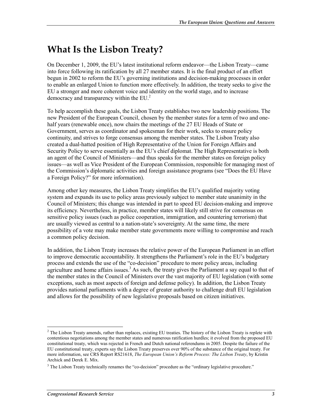## **What Is the Lisbon Treaty?**

On December 1, 2009, the EU's latest institutional reform endeavor—the Lisbon Treaty—came into force following its ratification by all 27 member states. It is the final product of an effort begun in 2002 to reform the EU's governing institutions and decision-making processes in order to enable an enlarged Union to function more effectively. In addition, the treaty seeks to give the EU a stronger and more coherent voice and identity on the world stage, and to increase democracy and transparency within the EU.<sup>2</sup>

To help accomplish these goals, the Lisbon Treaty establishes two new leadership positions. The new President of the European Council, chosen by the member states for a term of two and onehalf years (renewable once), now chairs the meetings of the 27 EU Heads of State or Government, serves as coordinator and spokesman for their work, seeks to ensure policy continuity, and strives to forge consensus among the member states. The Lisbon Treaty also created a dual-hatted position of High Representative of the Union for Foreign Affairs and Security Policy to serve essentially as the EU's chief diplomat. The High Representative is both an agent of the Council of Ministers—and thus speaks for the member states on foreign policy issues—as well as Vice President of the European Commission, responsible for managing most of the Commission's diplomatic activities and foreign assistance programs (see "Does the EU Have a Foreign Policy?" for more information).

Among other key measures, the Lisbon Treaty simplifies the EU's qualified majority voting system and expands its use to policy areas previously subject to member state unanimity in the Council of Ministers; this change was intended in part to speed EU decision-making and improve its efficiency. Nevertheless, in practice, member states will likely still strive for consensus on sensitive policy issues (such as police cooperation, immigration, and countering terrorism) that are usually viewed as central to a nation-state's sovereignty. At the same time, the mere possibility of a vote may make member state governments more willing to compromise and reach a common policy decision.

In addition, the Lisbon Treaty increases the relative power of the European Parliament in an effort to improve democratic accountability. It strengthens the Parliament's role in the EU's budgetary process and extends the use of the "co-decision" procedure to more policy areas, including agriculture and home affairs issues.<sup>3</sup> As such, the treaty gives the Parliament a say equal to that of the member states in the Council of Ministers over the vast majority of EU legislation (with some exceptions, such as most aspects of foreign and defense policy). In addition, the Lisbon Treaty provides national parliaments with a degree of greater authority to challenge draft EU legislation and allows for the possibility of new legislative proposals based on citizen initiatives.

<sup>&</sup>lt;sup>2</sup> The Lisbon Treaty amends, rather than replaces, existing EU treaties. The history of the Lisbon Treaty is replete with contentious negotiations among the member states and numerous ratification hurdles; it evolved from the proposed EU constitutional treaty, which was rejected in French and Dutch national referendums in 2005. Despite the failure of the EU constitutional treaty, experts say the Lisbon Treaty preserves over 90% of the substance of the original treaty. For more information, see CRS Report RS21618, *The European Union's Reform Process: The Lisbon Treaty*, by Kristin Archick and Derek E. Mix.

<sup>&</sup>lt;sup>3</sup> The Lisbon Treaty technically renames the "co-decision" procedure as the "ordinary legislative procedure."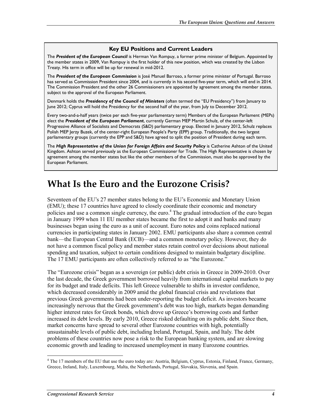#### **Key EU Positions and Current Leaders**

The *President of the European Council* is Herman Van Rompuy, a former prime minister of Belgium. Appointed by the member states in 2009, Van Rompuy is the first holder of this new position, which was created by the Lisbon Treaty. His term in office will be up for renewal in mid-2012.

The *President of the European Commission* is José Manuel Barroso, a former prime minister of Portugal. Barroso has served as Commission President since 2004, and is currently in his second five-year term, which will end in 2014. The Commission President and the other 26 Commissioners are appointed by agreement among the member states, subject to the approval of the European Parliament.

Denmark holds the *Presidency of the Council of Ministers* (often termed the "EU Presidency") from January to June 2012; Cyprus will hold the Presidency for the second half of the year, from July to December 2012.

Every two-and-a-half years (twice per each five-year parliamentary term) Members of the European Parliament (MEPs) elect the *President of the European Parliament*, currently German MEP Martin Schulz, of the center-left Progressive Alliance of Socialists and Democrats (S&D) parliamentary group. Elected in January 2012, Schulz replaces Polish MEP Jerzy Buzek, of the center-right European People's Party (EPP) group. Traditionally, the two largest parliamentary groups (currently the EPP and S&D) have agreed to split the position of President during each term.

The *High Representative of the Union for Foreign Affairs and Security Policy* is Catherine Ashton of the United Kingdom. Ashton served previously as the European Commissioner for Trade. The High Representative is chosen by agreement among the member states but like the other members of the Commission, must also be approved by the European Parliament.

#### **What Is the Euro and the Eurozone Crisis?**

Seventeen of the EU's 27 member states belong to the EU's Economic and Monetary Union (EMU); these 17 countries have agreed to closely coordinate their economic and monetary policies and use a common single currency, the euro.<sup>4</sup> The gradual introduction of the euro began in January 1999 when 11 EU member states became the first to adopt it and banks and many businesses began using the euro as a unit of account. Euro notes and coins replaced national currencies in participating states in January 2002. EMU participants also share a common central bank—the European Central Bank (ECB)—and a common monetary policy. However, they do not have a common fiscal policy and member states retain control over decisions about national spending and taxation, subject to certain conditions designed to maintain budgetary discipline. The 17 EMU participants are often collectively referred to as "the Eurozone."

The "Eurozone crisis" began as a sovereign (or public) debt crisis in Greece in 2009-2010. Over the last decade, the Greek government borrowed heavily from international capital markets to pay for its budget and trade deficits. This left Greece vulnerable to shifts in investor confidence, which decreased considerably in 2009 amid the global financial crisis and revelations that previous Greek governments had been under-reporting the budget deficit. As investors became increasingly nervous that the Greek government's debt was too high, markets began demanding higher interest rates for Greek bonds, which drove up Greece's borrowing costs and further increased its debt levels. By early 2010, Greece risked defaulting on its public debt. Since then, market concerns have spread to several other Eurozone countries with high, potentially unsustainable levels of public debt, including Ireland, Portugal, Spain, and Italy. The debt problems of these countries now pose a risk to the European banking system, and are slowing economic growth and leading to increased unemployment in many Eurozone countries.

<sup>&</sup>lt;sup>4</sup> The 17 members of the EU that use the euro today are: Austria, Belgium, Cyprus, Estonia, Finland, France, Germany, Greece, Ireland, Italy, Luxembourg, Malta, the Netherlands, Portugal, Slovakia, Slovenia, and Spain.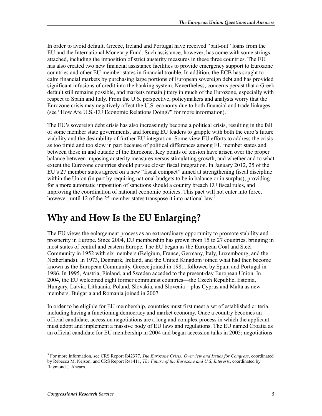In order to avoid default, Greece, Ireland and Portugal have received "bail-out" loans from the EU and the International Monetary Fund. Such assistance, however, has come with some strings attached, including the imposition of strict austerity measures in these three countries. The EU has also created two new financial assistance facilities to provide emergency support to Eurozone countries and other EU member states in financial trouble. In addition, the ECB has sought to calm financial markets by purchasing large portions of European sovereign debt and has provided significant infusions of credit into the banking system. Nevertheless, concerns persist that a Greek default still remains possible, and markets remain jittery in much of the Eurozone, especially with respect to Spain and Italy. From the U.S. perspective, policymakers and analysts worry that the Eurozone crisis may negatively affect the U.S. economy due to both financial and trade linkages (see "How Are U.S.-EU Economic Relations Doing?" for more information).

The EU's sovereign debt crisis has also increasingly become a political crisis, resulting in the fall of some member state governments, and forcing EU leaders to grapple with both the euro's future viability and the desirability of further EU integration. Some view EU efforts to address the crisis as too timid and too slow in part because of political differences among EU member states and between those in and outside of the Eurozone. Key points of tension have arisen over the proper balance between imposing austerity measures versus stimulating growth, and whether and to what extent the Eurozone countries should pursue closer fiscal integration. In January 2012, 25 of the EU's 27 member states agreed on a new "fiscal compact" aimed at strengthening fiscal discipline within the Union (in part by requiring national budgets to be in balance or in surplus), providing for a more automatic imposition of sanctions should a country breach EU fiscal rules, and improving the coordination of national economic policies. This pact will not enter into force, however, until 12 of the 25 member states transpose it into national law.<sup>5</sup>

## **Why and How Is the EU Enlarging?**

The EU views the enlargement process as an extraordinary opportunity to promote stability and prosperity in Europe. Since 2004, EU membership has grown from 15 to 27 countries, bringing in most states of central and eastern Europe. The EU began as the European Coal and Steel Community in 1952 with six members (Belgium, France, Germany, Italy, Luxembourg, and the Netherlands). In 1973, Denmark, Ireland, and the United Kingdom joined what had then become known as the European Community. Greece joined in 1981, followed by Spain and Portugal in 1986. In 1995, Austria, Finland, and Sweden acceded to the present-day European Union. In 2004, the EU welcomed eight former communist countries—the Czech Republic, Estonia, Hungary, Latvia, Lithuania, Poland, Slovakia, and Slovenia—plus Cyprus and Malta as new members. Bulgaria and Romania joined in 2007.

In order to be eligible for EU membership, countries must first meet a set of established criteria, including having a functioning democracy and market economy. Once a country becomes an official candidate, accession negotiations are a long and complex process in which the applicant must adopt and implement a massive body of EU laws and regulations. The EU named Croatia as an official candidate for EU membership in 2004 and began accession talks in 2005; negotiations

<sup>5</sup> For more information, see CRS Report R42377, *The Eurozone Crisis: Overview and Issues for Congress*, coordinated by Rebecca M. Nelson; and CRS Report R41411, *The Future of the Eurozone and U.S. Interests*, coordinated by Raymond J. Ahearn.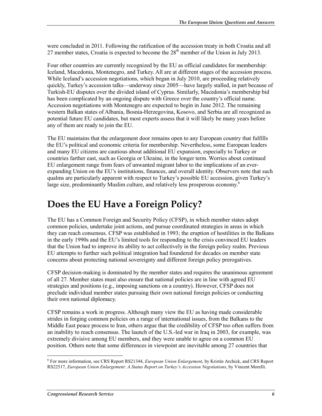were concluded in 2011. Following the ratification of the accession treaty in both Croatia and all 27 member states, Croatia is expected to become the  $28<sup>th</sup>$  member of the Union in July 2013.

Four other countries are currently recognized by the EU as official candidates for membership: Iceland, Macedonia, Montenegro, and Turkey. All are at different stages of the accession process. While Iceland's accession negotiations, which began in July 2010, are proceeding relatively quickly, Turkey's accession talks—underway since 2005—have largely stalled, in part because of Turkish-EU disputes over the divided island of Cyprus. Similarly, Macedonia's membership bid has been complicated by an ongoing dispute with Greece over the country's official name. Accession negotiations with Montenegro are expected to begin in June 2012. The remaining western Balkan states of Albania, Bosnia-Herzegovina, Kosovo, and Serbia are all recognized as potential future EU candidates, but most experts assess that it will likely be many years before any of them are ready to join the EU.

The EU maintains that the enlargement door remains open to any European country that fulfills the EU's political and economic criteria for membership. Nevertheless, some European leaders and many EU citizens are cautious about additional EU expansion, especially to Turkey or countries farther east, such as Georgia or Ukraine, in the longer term. Worries about continued EU enlargement range from fears of unwanted migrant labor to the implications of an everexpanding Union on the EU's institutions, finances, and overall identity. Observers note that such qualms are particularly apparent with respect to Turkey's possible EU accession, given Turkey's large size, predominantly Muslim culture, and relatively less prosperous economy.<sup>6</sup>

## **Does the EU Have a Foreign Policy?**

The EU has a Common Foreign and Security Policy (CFSP), in which member states adopt common policies, undertake joint actions, and pursue coordinated strategies in areas in which they can reach consensus. CFSP was established in 1993; the eruption of hostilities in the Balkans in the early 1990s and the EU's limited tools for responding to the crisis convinced EU leaders that the Union had to improve its ability to act collectively in the foreign policy realm. Previous EU attempts to further such political integration had foundered for decades on member state concerns about protecting national sovereignty and different foreign policy prerogatives.

CFSP decision-making is dominated by the member states and requires the unanimous agreement of all 27. Member states must also ensure that national policies are in line with agreed EU strategies and positions (e.g., imposing sanctions on a country). However, CFSP does not preclude individual member states pursuing their own national foreign policies or conducting their own national diplomacy.

CFSP remains a work in progress. Although many view the EU as having made considerable strides in forging common policies on a range of international issues, from the Balkans to the Middle East peace process to Iran, others argue that the credibility of CFSP too often suffers from an inability to reach consensus. The launch of the U.S.-led war in Iraq in 2003, for example, was extremely divisive among EU members, and they were unable to agree on a common EU position. Others note that some differences in viewpoint are inevitable among 27 countries that

 6 For more information, see CRS Report RS21344, *European Union Enlargement*, by Kristin Archick, and CRS Report RS22517, *European Union Enlargement: A Status Report on Turkey's Accession Negotiations*, by Vincent Morelli.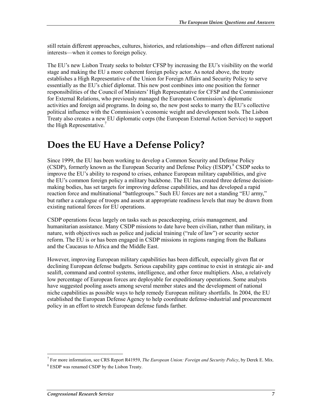still retain different approaches, cultures, histories, and relationships—and often different national interests—when it comes to foreign policy.

The EU's new Lisbon Treaty seeks to bolster CFSP by increasing the EU's visibility on the world stage and making the EU a more coherent foreign policy actor. As noted above, the treaty establishes a High Representative of the Union for Foreign Affairs and Security Policy to serve essentially as the EU's chief diplomat. This new post combines into one position the former responsibilities of the Council of Ministers' High Representative for CFSP and the Commissioner for External Relations, who previously managed the European Commission's diplomatic activities and foreign aid programs. In doing so, the new post seeks to marry the EU's collective political influence with the Commission's economic weight and development tools. The Lisbon Treaty also creates a new EU diplomatic corps (the European External Action Service) to support the High Representative.<sup>7</sup>

## **Does the EU Have a Defense Policy?**

Since 1999, the EU has been working to develop a Common Security and Defense Policy (CSDP), formerly known as the European Security and Defense Policy (ESDP).<sup>8</sup> CSDP seeks to improve the EU's ability to respond to crises, enhance European military capabilities, and give the EU's common foreign policy a military backbone. The EU has created three defense decisionmaking bodies, has set targets for improving defense capabilities, and has developed a rapid reaction force and multinational "battlegroups." Such EU forces are not a standing "EU army," but rather a catalogue of troops and assets at appropriate readiness levels that may be drawn from existing national forces for EU operations.

CSDP operations focus largely on tasks such as peacekeeping, crisis management, and humanitarian assistance. Many CSDP missions to date have been civilian, rather than military, in nature, with objectives such as police and judicial training ("rule of law") or security sector reform. The EU is or has been engaged in CSDP missions in regions ranging from the Balkans and the Caucasus to Africa and the Middle East.

However, improving European military capabilities has been difficult, especially given flat or declining European defense budgets. Serious capability gaps continue to exist in strategic air- and sealift, command and control systems, intelligence, and other force multipliers. Also, a relatively low percentage of European forces are deployable for expeditionary operations. Some analysts have suggested pooling assets among several member states and the development of national niche capabilities as possible ways to help remedy European military shortfalls. In 2004, the EU established the European Defense Agency to help coordinate defense-industrial and procurement policy in an effort to stretch European defense funds farther.

 7 For more information, see CRS Report R41959, *The European Union: Foreign and Security Policy*, by Derek E. Mix.

<sup>8</sup> ESDP was renamed CSDP by the Lisbon Treaty.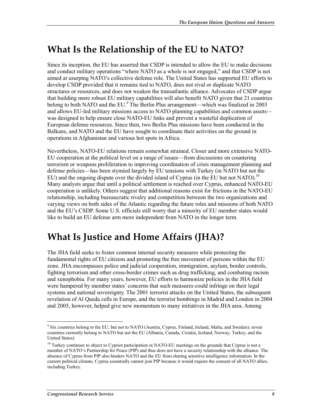## **What Is the Relationship of the EU to NATO?**

Since its inception, the EU has asserted that CSDP is intended to allow the EU to make decisions and conduct military operations "where NATO as a whole is not engaged," and that CSDP is not aimed at usurping NATO's collective defense role. The United States has supported EU efforts to develop CSDP provided that it remains tied to NATO, does not rival or duplicate NATO structures or resources, and does not weaken the transatlantic alliance. Advocates of CSDP argue that building more robust EU military capabilities will also benefit NATO given that 21 countries belong to both NATO and the EU.<sup>9</sup> The Berlin Plus arrangement—which was finalized in 2003 and allows EU-led military missions access to NATO planning capabilities and common assets was designed to help ensure close NATO-EU links and prevent a wasteful duplication of European defense resources. Since then, two Berlin Plus missions have been conducted in the Balkans, and NATO and the EU have sought to coordinate their activities on the ground in operations in Afghanistan and various hot spots in Africa.

Nevertheless, NATO-EU relations remain somewhat strained. Closer and more extensive NATO-EU cooperation at the political level on a range of issues—from discussions on countering terrorism or weapons proliferation to improving coordination of crisis management planning and defense policies—has been stymied largely by EU tensions with Turkey (in NATO but not the EU) and the ongoing dispute over the divided island of Cyprus (in the EU but not NATO).<sup>10</sup> Many analysts argue that until a political settlement is reached over Cyprus, enhanced NATO-EU cooperation is unlikely. Others suggest that additional reasons exist for frictions in the NATO-EU relationship, including bureaucratic rivalry and competition between the two organizations and varying views on both sides of the Atlantic regarding the future roles and missions of both NATO and the EU's CSDP. Some U.S. officials still worry that a minority of EU member states would like to build an EU defense arm more independent from NATO in the longer term.

## **What Is Justice and Home Affairs (JHA)?**

The JHA field seeks to foster common internal security measures while protecting the fundamental rights of EU citizens and promoting the free movement of persons within the EU zone. JHA encompasses police and judicial cooperation, immigration, asylum, border controls, fighting terrorism and other cross-border crimes such as drug trafficking, and combating racism and xenophobia. For many years, however, EU efforts to harmonize policies in the JHA field were hampered by member states' concerns that such measures could infringe on their legal systems and national sovereignty. The 2001 terrorist attacks on the United States, the subsequent revelation of Al Qaeda cells in Europe, and the terrorist bombings in Madrid and London in 2004 and 2005, however, helped give new momentum to many initiatives in the JHA area. Among

<sup>1</sup> <sup>9</sup> Six countries belong to the EU, but not to NATO (Austria, Cyprus, Finland, Ireland, Malta, and Sweden); seven countries currently belong to NATO but not the EU (Albania, Canada, Croatia, Iceland, Norway, Turkey, and the United States).

<sup>&</sup>lt;sup>10</sup> Turkey continues to object to Cypriot participation in NATO-EU meetings on the grounds that Cyprus is not a member of NATO's Partnership for Peace (PfP) and thus does not have a security relationship with the alliance. The absence of Cyprus from PfP also hinders NATO and the EU from sharing sensitive intelligence information. In the current political climate, Cyprus essentially cannot join PfP because it would require the consent of all NATO allies, including Turkey.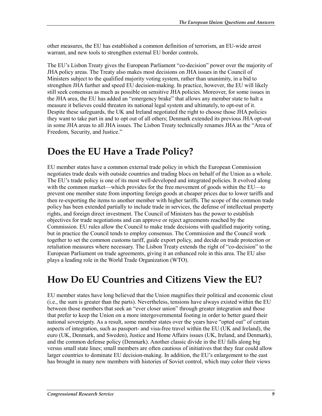other measures, the EU has established a common definition of terrorism, an EU-wide arrest warrant, and new tools to strengthen external EU border controls.

The EU's Lisbon Treaty gives the European Parliament "co-decision" power over the majority of JHA policy areas. The Treaty also makes most decisions on JHA issues in the Council of Ministers subject to the qualified majority voting system, rather than unanimity, in a bid to strengthen JHA further and speed EU decision-making. In practice, however, the EU will likely still seek consensus as much as possible on sensitive JHA policies. Moreover, for some issues in the JHA area, the EU has added an "emergency brake" that allows any member state to halt a measure it believes could threaten its national legal system and ultimately, to opt-out of it. Despite these safeguards, the UK and Ireland negotiated the right to choose those JHA policies they want to take part in and to opt out of all others; Denmark extended its previous JHA opt-out in some JHA areas to all JHA issues. The Lisbon Treaty technically renames JHA as the "Area of Freedom, Security, and Justice."

## **Does the EU Have a Trade Policy?**

EU member states have a common external trade policy in which the European Commission negotiates trade deals with outside countries and trading blocs on behalf of the Union as a whole. The EU's trade policy is one of its most well-developed and integrated policies. It evolved along with the common market—which provides for the free movement of goods within the EU—to prevent one member state from importing foreign goods at cheaper prices due to lower tariffs and then re-exporting the items to another member with higher tariffs. The scope of the common trade policy has been extended partially to include trade in services, the defense of intellectual property rights, and foreign direct investment. The Council of Ministers has the power to establish objectives for trade negotiations and can approve or reject agreements reached by the Commission. EU rules allow the Council to make trade decisions with qualified majority voting, but in practice the Council tends to employ consensus. The Commission and the Council work together to set the common customs tariff, guide export policy, and decide on trade protection or retaliation measures where necessary. The Lisbon Treaty extends the right of "co-decision" to the European Parliament on trade agreements, giving it an enhanced role in this area. The EU also plays a leading role in the World Trade Organization (WTO).

## **How Do EU Countries and Citizens View the EU?**

EU member states have long believed that the Union magnifies their political and economic clout (i.e., the sum is greater than the parts). Nevertheless, tensions have always existed within the EU between those members that seek an "ever closer union" through greater integration and those that prefer to keep the Union on a more intergovernmental footing in order to better guard their national sovereignty. As a result, some member states over the years have "opted out" of certain aspects of integration, such as passport- and visa-free travel within the EU (UK and Ireland), the euro (UK, Denmark, and Sweden), Justice and Home Affairs issues (UK, Ireland, and Denmark), and the common defense policy (Denmark). Another classic divide in the EU falls along big versus small state lines; small members are often cautious of initiatives that they fear could allow larger countries to dominate EU decision-making. In addition, the EU's enlargement to the east has brought in many new members with histories of Soviet control, which may color their views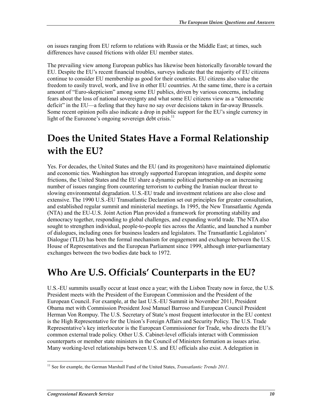on issues ranging from EU reform to relations with Russia or the Middle East; at times, such differences have caused frictions with older EU member states.

The prevailing view among European publics has likewise been historically favorable toward the EU. Despite the EU's recent financial troubles, surveys indicate that the majority of EU citizens continue to consider EU membership as good for their countries. EU citizens also value the freedom to easily travel, work, and live in other EU countries. At the same time, there is a certain amount of "Euro-skepticism" among some EU publics, driven by various concerns, including fears about the loss of national sovereignty and what some EU citizens view as a "democratic deficit" in the EU—a feeling that they have no say over decisions taken in far-away Brussels. Some recent opinion polls also indicate a drop in public support for the EU's single currency in light of the Eurozone's ongoing sovereign debt crisis.<sup>11</sup>

## **Does the United States Have a Formal Relationship with the EU?**

Yes. For decades, the United States and the EU (and its progenitors) have maintained diplomatic and economic ties. Washington has strongly supported European integration, and despite some frictions, the United States and the EU share a dynamic political partnership on an increasing number of issues ranging from countering terrorism to curbing the Iranian nuclear threat to slowing environmental degradation. U.S.-EU trade and investment relations are also close and extensive. The 1990 U.S.-EU Transatlantic Declaration set out principles for greater consultation, and established regular summit and ministerial meetings. In 1995, the New Transatlantic Agenda (NTA) and the EU-U.S. Joint Action Plan provided a framework for promoting stability and democracy together, responding to global challenges, and expanding world trade. The NTA also sought to strengthen individual, people-to-people ties across the Atlantic, and launched a number of dialogues, including ones for business leaders and legislators. The Transatlantic Legislators' Dialogue (TLD) has been the formal mechanism for engagement and exchange between the U.S. House of Representatives and the European Parliament since 1999, although inter-parliamentary exchanges between the two bodies date back to 1972.

## **Who Are U.S. Officials' Counterparts in the EU?**

U.S.-EU summits usually occur at least once a year; with the Lisbon Treaty now in force, the U.S. President meets with the President of the European Commission and the President of the European Council. For example, at the last U.S.-EU Summit in November 2011, President Obama met with Commission President José Manuel Barroso and European Council President Herman Von Rompuy. The U.S. Secretary of State's most frequent interlocutor in the EU context is the High Representative for the Union's Foreign Affairs and Security Policy. The U.S. Trade Representative's key interlocutor is the European Commissioner for Trade, who directs the EU's common external trade policy. Other U.S. Cabinet-level officials interact with Commission counterparts or member state ministers in the Council of Ministers formation as issues arise. Many working-level relationships between U.S. and EU officials also exist. A delegation in

<sup>&</sup>lt;u>.</u> 11 See for example, the German Marshall Fund of the United States, *Transatlantic Trends 2011*.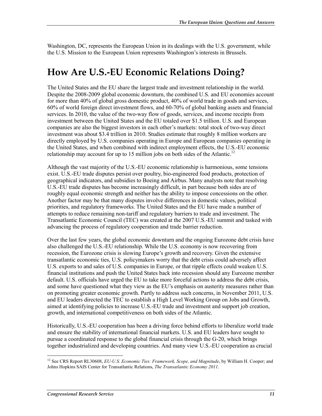Washington, DC, represents the European Union in its dealings with the U.S. government, while the U.S. Mission to the European Union represents Washington's interests in Brussels.

## **How Are U.S.-EU Economic Relations Doing?**

The United States and the EU share the largest trade and investment relationship in the world. Despite the 2008-2009 global economic downturn, the combined U.S. and EU economies account for more than 40% of global gross domestic product, 40% of world trade in goods and services, 60% of world foreign direct investment flows, and 60-70% of global banking assets and financial services. In 2010, the value of the two-way flow of goods, services, and income receipts from investment between the United States and the EU totaled over \$1.5 trillion. U.S. and European companies are also the biggest investors in each other's markets: total stock of two-way direct investment was about \$3.4 trillion in 2010. Studies estimate that roughly 8 million workers are directly employed by U.S. companies operating in Europe and European companies operating in the United States, and when combined with indirect employment effects, the U.S.-EU economic relationship may account for up to 15 million jobs on both sides of the Atlantic.<sup>12</sup>

Although the vast majority of the U.S.-EU economic relationship is harmonious, some tensions exist. U.S.-EU trade disputes persist over poultry, bio-engineered food products, protection of geographical indicators, and subsidies to Boeing and Airbus. Many analysts note that resolving U.S.-EU trade disputes has become increasingly difficult, in part because both sides are of roughly equal economic strength and neither has the ability to impose concessions on the other. Another factor may be that many disputes involve differences in domestic values, political priorities, and regulatory frameworks. The United States and the EU have made a number of attempts to reduce remaining non-tariff and regulatory barriers to trade and investment. The Transatlantic Economic Council (TEC) was created at the 2007 U.S.-EU summit and tasked with advancing the process of regulatory cooperation and trade barrier reduction.

Over the last few years, the global economic downturn and the ongoing Eurozone debt crisis have also challenged the U.S.-EU relationship. While the U.S. economy is now recovering from recession, the Eurozone crisis is slowing Europe's growth and recovery. Given the extensive transatlantic economic ties, U.S. policymakers worry that the debt crisis could adversely affect U.S. exports to and sales of U.S. companies in Europe, or that ripple effects could weaken U.S. financial institutions and push the United States back into recession should any Eurozone member default. U.S. officials have urged the EU to take more forceful actions to address the debt crisis, and some have questioned what they view as the EU's emphasis on austerity measures rather than on promoting greater economic growth. Partly to address such concerns, in November 2011, U.S. and EU leaders directed the TEC to establish a High Level Working Group on Jobs and Growth, aimed at identifying policies to increase U.S.-EU trade and investment and support job creation, growth, and international competitiveness on both sides of the Atlantic.

Historically, U.S.-EU cooperation has been a driving force behind efforts to liberalize world trade and ensure the stability of international financial markets. U.S. and EU leaders have sought to pursue a coordinated response to the global financial crisis through the G-20, which brings together industrialized and developing countries. And many view U.S.-EU cooperation as crucial

<sup>1</sup> <sup>12</sup> See CRS Report RL30608, *EU-U.S. Economic Ties: Framework, Scope, and Magnitude*, by William H. Cooper; and Johns Hopkins SAIS Center for Transatlantic Relations, *The Transatlantic Economy 2011*.